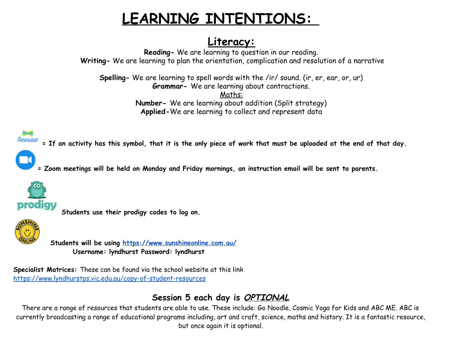## **LEARNING INTENTIONS:**

## **Literacy:**

**Reading-** We are learning to question in our reading. **Writing-** We are learning to plan the orientation, complication and resolution of a narrative

**Spelling-** We are learning to spell words with the /ir/ sound. (ir, er, ear, or, ur) **Grammar-** We are learning about contractions. Maths:

**Number-** We are learning about addition (Split strategy) **Applied-**We are learning to collect and represent data

= If an activity has this symbol, that it is the only piece of work that must be uploaded at the end of that day.



= Zoom meetings will be held on Monday and Friday mornings, an instruction email will be sent to parents.



**Students use their prodigy codes to log on.**



**Students will be using <https://www.sunshineonline.com.au/> Username: lyndhurst Password: lyndhurst**

**Specialist Matrices:** These can be found via the school website at this link <https://www.lyndhurstps.vic.edu.au/copy-of-student-resources>

## **Session 5 each day is OPTIONAL**

There are a range of resources that students are able to use. These include: Go Noodle, Cosmic Yoga for Kids and ABC ME. ABC is currently broadcasting a range of educational programs including, art and craft, science, maths and history. It is a fantastic resource, but once again it is optional.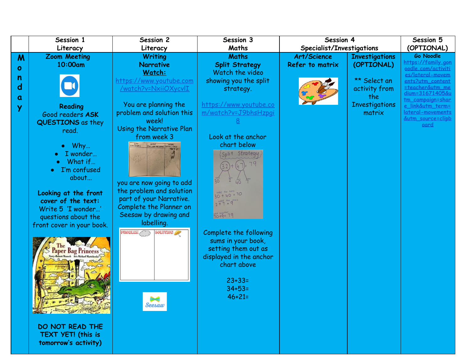|   | Session 1                                 | Session 2                                            | Session 3                | Session 4                 |                                 | Session 5                                    |
|---|-------------------------------------------|------------------------------------------------------|--------------------------|---------------------------|---------------------------------|----------------------------------------------|
|   | Literacy                                  | Literacy                                             | Maths                    | Specialist/Investigations |                                 | (OPTIONAL)                                   |
| M | <b>Zoom Meeting</b>                       | <b>Writing</b>                                       | <b>Maths</b>             | Art/Science               | <b>Investigations</b>           | Go Noodle                                    |
| ο | 10:00am                                   | <b>Narrative</b>                                     | <b>Split Strategy</b>    | Refer to matrix           | (OPTIONAL)                      | https://family.gon<br>podle.com/activiti     |
| n |                                           | Watch:                                               | Watch the video          |                           |                                 | es/lateral-movem                             |
| d |                                           | https://www.youtube.com                              | showing you the split    |                           | ** Select an                    | ents?utm_content                             |
|   |                                           | <u>/watch?v=NxiiOXycvII</u>                          | strategy.                |                           | activity from                   | steacher&utm_me<br>dium=31671405&u           |
| a |                                           |                                                      | https://www.youtube.co   |                           | the                             | <u>tm_campaign=shar</u>                      |
| у | Reading                                   | You are planning the<br>problem and solution this    | m/watch?v=J9bhsHzpgi     |                           | <b>Investigations</b><br>matrix | e link&utm_term=<br><u>lateral-movements</u> |
|   | Good readers ASK                          | week!                                                |                          |                           |                                 | <u>&amp;utm_source=clipb</u>                 |
|   | QUESTIONS as they                         | Using the Narrative Plan                             |                          |                           |                                 | oard                                         |
|   | read.                                     | from week 3                                          | Look at the anchor       |                           |                                 |                                              |
|   | $\bullet$ Why                             | WHO<br>(ARACTORS                                     | chart below              |                           |                                 |                                              |
|   | I wonder                                  |                                                      | Split Strategy           |                           |                                 |                                              |
|   | What if                                   |                                                      |                          |                           |                                 |                                              |
|   | I'm confused                              |                                                      |                          |                           |                                 |                                              |
|   | about                                     |                                                      |                          |                           |                                 |                                              |
|   |                                           | you are now going to add<br>the problem and solution |                          |                           |                                 |                                              |
|   | Looking at the front                      | part of your Narrative.                              | $30 + 40 = 70$           |                           |                                 |                                              |
|   | cover of the text:                        | Complete the Planner on                              | $2 + 7 = 9$              |                           |                                 |                                              |
|   | Write 5 'I wonder'<br>questions about the | Seesaw by drawing and                                | add rogethei<br>70+9= 79 |                           |                                 |                                              |
|   | front cover in your book.                 | labelling.                                           |                          |                           |                                 |                                              |
|   |                                           | <b>PROBLEM</b><br><b>SOLUTION</b>                    | Complete the following   |                           |                                 |                                              |
|   |                                           |                                                      | sums in your book,       |                           |                                 |                                              |
|   | <b>Paper Bag Princess</b>                 |                                                      | setting them out as      |                           |                                 |                                              |
|   |                                           |                                                      | displayed in the anchor  |                           |                                 |                                              |
|   |                                           |                                                      | chart above              |                           |                                 |                                              |
|   |                                           |                                                      |                          |                           |                                 |                                              |
|   |                                           |                                                      | $23 + 33 =$              |                           |                                 |                                              |
|   |                                           |                                                      | $34 + 53 =$              |                           |                                 |                                              |
|   |                                           |                                                      | $46 + 21 =$              |                           |                                 |                                              |
|   |                                           | <b>Seesaw</b>                                        |                          |                           |                                 |                                              |
|   |                                           |                                                      |                          |                           |                                 |                                              |
|   | DO NOT READ THE                           |                                                      |                          |                           |                                 |                                              |
|   | TEXT YET! (this is                        |                                                      |                          |                           |                                 |                                              |
|   | tomorrow's activity)                      |                                                      |                          |                           |                                 |                                              |
|   |                                           |                                                      |                          |                           |                                 |                                              |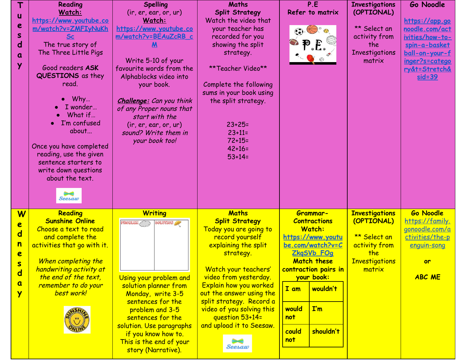| $\mathsf T$             | Reading                     | <b>Spelling</b>                   | <b>Maths</b>              | P.E                              | <b>Investigations</b> | Go Noodle                    |
|-------------------------|-----------------------------|-----------------------------------|---------------------------|----------------------------------|-----------------------|------------------------------|
|                         | Watch:                      | (ir, er, ear, or, ur)             | <b>Split Strategy</b>     | Refer to matrix                  | (OPTIONAL)            |                              |
| U                       | https://www.youtube.co      | Watch:                            | Watch the video that      |                                  |                       | https://app.go               |
| e                       | m/watch?v=ZMFIyNuKh         | <u>https://www.youtube.co</u>     | your teacher has          | $\bigcircled{0}$                 | ** Select an          | noodle.com/act               |
| S                       |                             | m/watch?v=BEAuZcRB c              | recorded for you          |                                  | activity from         | <u>ivities/how-to-</u>       |
| $\mathsf{d}$            | The true story of           | Μ                                 | showing the split         |                                  | the                   | spin-a-basket                |
| $\alpha$                | The Three Little Pigs       |                                   | strategy.                 |                                  | Investigations        | ball-on-your-f               |
|                         |                             | Write 5-10 of your                |                           |                                  | matrix                | inger?s=catego               |
| Ÿ                       | Good readers ASK            | favourite words from the          | **Teacher Video**         |                                  |                       | <u>ry&amp;t=Stretch&amp;</u> |
|                         | QUESTIONS as they           | Alphablocks video into            |                           |                                  |                       | $sid = 39$                   |
|                         | read.                       | your book.                        | Complete the following    |                                  |                       |                              |
|                         |                             |                                   | sums in your book using   |                                  |                       |                              |
|                         | Why                         | <b>Challenge:</b> Can you think   | the split strategy.       |                                  |                       |                              |
|                         | I wonder                    | of any Proper nouns that          |                           |                                  |                       |                              |
|                         | What if                     | start with the                    |                           |                                  |                       |                              |
|                         | I'm confused                | $($ ir, er, ear, or, ur $)$       | $23 + 25 =$               |                                  |                       |                              |
|                         | about                       | sound? Write them in              | $23 + 11 =$               |                                  |                       |                              |
|                         |                             | your book too!                    | $72 + 15 =$               |                                  |                       |                              |
|                         | Once you have completed     |                                   | $42 + 16 =$               |                                  |                       |                              |
|                         | reading, use the given      |                                   | $53+14=$                  |                                  |                       |                              |
|                         | sentence starters to        |                                   |                           |                                  |                       |                              |
|                         | write down questions        |                                   |                           |                                  |                       |                              |
|                         | about the text.             |                                   |                           |                                  |                       |                              |
|                         |                             |                                   |                           |                                  |                       |                              |
|                         | Seesaw                      |                                   |                           |                                  |                       |                              |
|                         |                             |                                   |                           |                                  |                       |                              |
| $\overline{\mathsf{W}}$ | Reading                     | <b>Writing</b>                    | <b>Maths</b>              | Grammar-                         | <b>Investigations</b> | <b>Go Noodle</b>             |
| e                       | <b>Sunshine Online</b>      | <b>SOLUTION</b><br><b>PROBLEM</b> | <b>Split Strategy</b>     | <b>Contractions</b>              | (OPTIONAL)            | https://family.              |
| $\overline{\mathbf{d}}$ | Choose a text to read       |                                   | Today you are going to    | <b>Watch:</b>                    |                       | gonoodle.com/a               |
|                         | and complete the            |                                   | record yourself           | https://www.youtu                | ** Select an          | ctivities/the-p              |
| n                       | activities that go with it. |                                   | explaining the split      | be.com/watch?v=C                 | activity from         | enguin-song                  |
| e                       |                             |                                   | strategy.                 | ZkgSVb FOg                       | the                   |                              |
| $\overline{\mathbf{s}}$ | When completing the         |                                   |                           | <b>Match these</b>               | <b>Investigations</b> | <b>or</b>                    |
| $\overline{\mathbf{d}}$ | handwriting activity at     |                                   | Watch your teachers'      | contraction pairs in             | matrix                |                              |
|                         | the end of the text,        | Using your problem and            | video from yesterday.     | your book:                       |                       | <b>ABC ME</b>                |
| $\overline{\mathbf{a}}$ | remember to do your         | solution planner from             | Explain how you worked    | I am<br>wouldn't                 |                       |                              |
| Ÿ                       | best work!                  | Monday, write 3-5                 | out the answer using the  |                                  |                       |                              |
|                         |                             | sentences for the                 | split strategy. Record a  |                                  |                       |                              |
|                         |                             | problem and 3-5                   | video of you solving this | $\mathbf{I}'\mathbf{m}$<br>would |                       |                              |
|                         |                             | sentences for the                 | question 53+14=           | not                              |                       |                              |
|                         |                             | solution. Use paragraphs          | and upload it to Seesaw.  | shouldn't<br>could               |                       |                              |
|                         |                             | if you know how to.               |                           | not                              |                       |                              |
|                         |                             | This is the end of your           |                           |                                  |                       |                              |
|                         |                             | story (Narrative).                | Seesaw                    |                                  |                       |                              |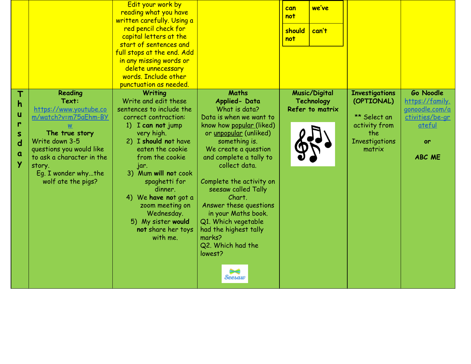|                                                            |                                                                                                                                                                                                                                                           | Edit your work by<br>reading what you have<br>written carefully. Using a<br>red pencil check for<br>capital letters at the<br>start of sentences and<br>full stops at the end. Add<br>in any missing words or<br>delete unnecessary<br>words. Include other<br>punctuation as needed.                                                                                     |                                                                                                                                                                                                                                                                                                                                                                                                                                       | can<br>not<br>should<br>not | we've<br>can't                                 |                                                                                                                |                                                                                                                         |
|------------------------------------------------------------|-----------------------------------------------------------------------------------------------------------------------------------------------------------------------------------------------------------------------------------------------------------|---------------------------------------------------------------------------------------------------------------------------------------------------------------------------------------------------------------------------------------------------------------------------------------------------------------------------------------------------------------------------|---------------------------------------------------------------------------------------------------------------------------------------------------------------------------------------------------------------------------------------------------------------------------------------------------------------------------------------------------------------------------------------------------------------------------------------|-----------------------------|------------------------------------------------|----------------------------------------------------------------------------------------------------------------|-------------------------------------------------------------------------------------------------------------------------|
| Т<br>h<br>u<br>r<br>S<br>$\overline{\mathbf{d}}$<br>a<br>Y | Reading<br>Text:<br>https://www.youtube.co<br><u>m/watch?v=m75aEhm-BY</u><br>$\underline{\mathsf{w}}$<br>The true story<br>Write down 3-5<br>questions you would like<br>to ask a character in the<br>story.<br>Eq. I wonder whythe<br>wolf ate the pigs? | <b>Writing</b><br>Write and edit these<br>sentences to include the<br>correct contraction:<br>1) I can not jump<br>very high.<br>2) I should not have<br>eaten the cookie<br>from the cookie<br>jar.<br>3) Mum will not cook<br>spaghetti for<br>dinner.<br>4) We have not got a<br>zoom meeting on<br>Wednesday.<br>5) My sister would<br>not share her toys<br>with me. | <b>Maths</b><br>Applied-Data<br>What is data?<br>Data is when we want to<br>know how popular (liked)<br>or unpopular (unliked)<br>something is.<br>We create a question<br>and complete a tally to<br>collect data.<br>Complete the activity on<br>seesaw called Tally<br>Chart.<br>Answer these questions<br>in your Maths book.<br>Q1. Which vegetable<br>had the highest tally<br>marks?<br>Q2. Which had the<br>lowest?<br>Seesaw |                             | Music/Digital<br>Technology<br>Refer to matrix | <b>Investigations</b><br>(OPTIONAL)<br>** Select an<br>activity from<br>the<br><b>Investigations</b><br>matrix | <b>Go Noodle</b><br>https://family.<br><u>gonoodle.com/a</u><br>ctivities/be-gr<br><u>ateful</u><br>or<br><b>ABC ME</b> |